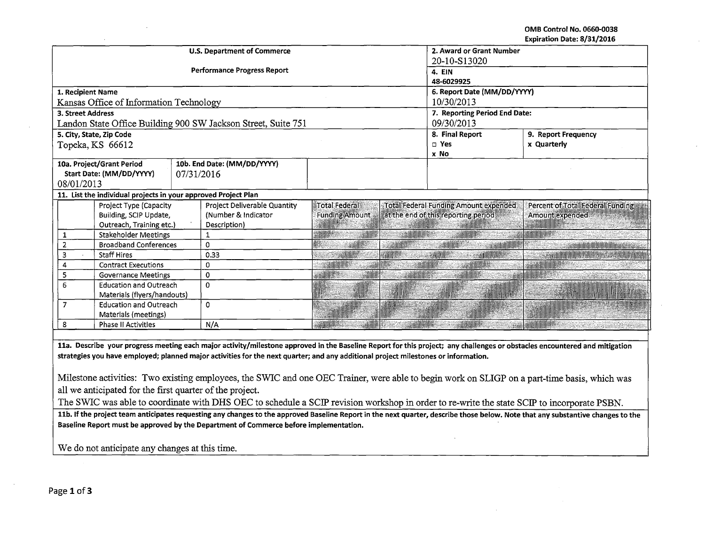OMB Control No. 0660-0038 Expiration Date: 8/31/2016

|                                                                                                                                                                            |                                                                |            | <b>U.S. Department of Commerce</b>                            | 2. Award or Grant Number        |                 |                                              |                                    |  |
|----------------------------------------------------------------------------------------------------------------------------------------------------------------------------|----------------------------------------------------------------|------------|---------------------------------------------------------------|---------------------------------|-----------------|----------------------------------------------|------------------------------------|--|
|                                                                                                                                                                            |                                                                |            |                                                               | 20-10-S13020                    |                 |                                              |                                    |  |
|                                                                                                                                                                            |                                                                |            | <b>Performance Progress Report</b>                            | 4. EIN                          |                 |                                              |                                    |  |
|                                                                                                                                                                            |                                                                |            |                                                               | 48-6029925                      |                 |                                              |                                    |  |
| 1. Recipient Name                                                                                                                                                          |                                                                |            |                                                               | 6. Report Date (MM/DD/YYYY)     |                 |                                              |                                    |  |
|                                                                                                                                                                            | Kansas Office of Information Technology                        |            |                                                               | 10/30/2013                      |                 |                                              |                                    |  |
| <b>3. Street Address</b>                                                                                                                                                   |                                                                |            |                                                               | 7. Reporting Period End Date:   |                 |                                              |                                    |  |
|                                                                                                                                                                            |                                                                |            | Landon State Office Building 900 SW Jackson Street, Suite 751 | 09/30/2013                      |                 |                                              |                                    |  |
|                                                                                                                                                                            | 5. City, State, Zip Code                                       |            |                                                               |                                 |                 | 8. Final Report<br>9. Report Frequency       |                                    |  |
|                                                                                                                                                                            | Topeka, KS 66612                                               |            |                                                               |                                 |                 | $\square$ Yes                                | x Quarterly                        |  |
|                                                                                                                                                                            |                                                                |            |                                                               |                                 |                 | x No                                         |                                    |  |
|                                                                                                                                                                            | 10a. Project/Grant Period                                      |            | 10b. End Date: (MM/DD/YYYY)                                   |                                 |                 |                                              |                                    |  |
|                                                                                                                                                                            | Start Date: (MM/DD/YYYY)                                       | 07/31/2016 |                                                               |                                 |                 |                                              |                                    |  |
| 08/01/2013                                                                                                                                                                 |                                                                |            |                                                               |                                 |                 |                                              |                                    |  |
|                                                                                                                                                                            | 11. List the individual projects in your approved Project Plan |            |                                                               |                                 |                 |                                              |                                    |  |
|                                                                                                                                                                            | Project Type (Capacity                                         |            | Project Deliverable Quantity                                  | Total Federal                   |                 | <b>Total Federal Funding Amount expended</b> | Percent of Total Federal Funding   |  |
|                                                                                                                                                                            | Building, SCIP Update,                                         |            | (Number & Indicator                                           | <b>Funding Amount</b>           |                 | at the end of this reporting period          | Amount expended                    |  |
|                                                                                                                                                                            | Outreach, Training etc.)                                       |            | Description)                                                  |                                 |                 |                                              |                                    |  |
| 1                                                                                                                                                                          | <b>Stakeholder Meetings</b>                                    |            | 1                                                             |                                 |                 |                                              |                                    |  |
| $\overline{2}$                                                                                                                                                             | <b>Broadband Conferences</b>                                   |            | 0                                                             |                                 |                 |                                              | <b>Seemind Information Control</b> |  |
| $\overline{3}$                                                                                                                                                             | <b>Staff Hires</b>                                             |            | 0.33                                                          |                                 |                 |                                              |                                    |  |
| 4                                                                                                                                                                          | <b>Contract Executions</b>                                     |            | 0                                                             | <b><i><b>CONTROLLER</b></i></b> |                 | <b>SANDARIA</b>                              | <b>SAGAN MINDER</b>                |  |
| 5                                                                                                                                                                          | <b>Governance Meetings</b>                                     |            | 0                                                             | <b>SANDONES</b>                 | <b>MENTINGS</b> | a Abdull Mi                                  |                                    |  |
| 6                                                                                                                                                                          | <b>Education and Outreach</b>                                  |            | $\Omega$                                                      |                                 |                 |                                              |                                    |  |
|                                                                                                                                                                            | Materials (flyers/handouts)                                    |            |                                                               |                                 |                 |                                              |                                    |  |
| $\overline{7}$                                                                                                                                                             | <b>Education and Outreach</b>                                  |            | 0                                                             |                                 |                 |                                              |                                    |  |
|                                                                                                                                                                            | Materials (meetings)                                           |            |                                                               |                                 |                 |                                              |                                    |  |
| 8                                                                                                                                                                          | <b>Phase II Activities</b>                                     |            | N/A                                                           |                                 |                 |                                              |                                    |  |
|                                                                                                                                                                            |                                                                |            |                                                               |                                 |                 |                                              |                                    |  |
| 11a. Describe your progress meeting each major activity/milestone approved in the Baseline Report for this project; any challenges or obstacles encountered and mitigation |                                                                |            |                                                               |                                 |                 |                                              |                                    |  |
| strategies you have employed; planned major activities for the next quarter; and any additional project milestones or information.                                         |                                                                |            |                                                               |                                 |                 |                                              |                                    |  |
|                                                                                                                                                                            |                                                                |            |                                                               |                                 |                 |                                              |                                    |  |
| Milestone activities: Two existing employees, the SWIC and one OEC Trainer, were able to begin work on SLIGP on a part-time basis, which was                               |                                                                |            |                                                               |                                 |                 |                                              |                                    |  |
|                                                                                                                                                                            |                                                                |            |                                                               |                                 |                 |                                              |                                    |  |

all we anticipated for the first quarter of the project.

The SWIC was able to coordinate with DHS OEC to schedule a SCIP revision workshop in order to re-write the state SCIP to incorporate PSBN.

11b. If the project team anticipates requesting any changes to the approved Baseline Report in the next quarter, describe those below. Note that any substantive changes to the Baseline Report must be approved by the Department of Commerce before implementation.

We do not anticipate any changes at this time.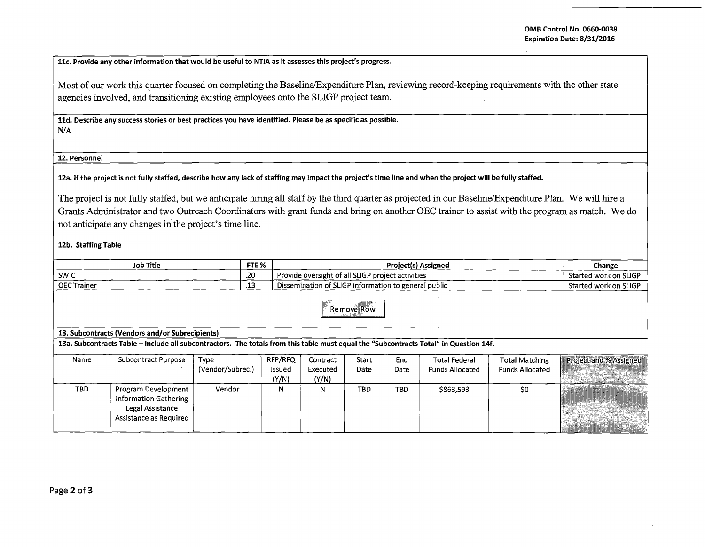llc. Provide any other information that would be useful to NTIA as it assesses this project's progress.

Most of our work this quarter focused on completing the Baseline/Expenditure Plan, reviewing record-keeping requirements with the other state agencies involved, and transitioning existing employees onto the SLIGP project team.

lld. Describe any success stories or best practices you have identified. Please be as specific as possible. N/A

12. Personnel

12a. If the project is not fully staffed, describe how any Jack of staffing may impact the project's time line and when the project will be fully staffed.

The project is not fully staffed, but we anticipate hiring all staff by the third quarter as projected in our Baseline/Expenditure Plan. We will hire a Grants Administrator and two Outreach Coordinators with grant funds and bring on another OEC trainer to assist with the program as match. We do not anticipate any changes in the project's time line.

12b. Staffing Table

| <b>Job Title</b>   | FTE % | <b>Project(s) Assigned</b>                           | Change                |
|--------------------|-------|------------------------------------------------------|-----------------------|
| SWIC               | .20   | Provide oversight of all SLIGP project activities    | Started work on SLIGP |
| <b>OEC Trainer</b> | .     | Dissemination of SLIGP information to general public | Started work on SLIGP |

Remove Row  $\ell$   $\cdot$  1,1

## 13. Subcontracts (Vendors and/or Subrecipients)

13a. Subcontracts Table -Include all subcontractors. The totals from this table must equal the "Subcontracts Total" in Question 14f.

| Name       | Subcontract Purpose                                                                        | Type<br>(Vendor/Subrec.) | RFP/RFQ<br>Issued<br>(Y/N) | Contract<br>Executed<br>(Y/N) | Start<br>Date | End<br>Date | <b>Total Federal</b><br><b>Funds Allocated</b> | <b>Total Matching</b><br>Funds Allocated | Project and % Assigned<br>a complete the complete state of the complete of |
|------------|--------------------------------------------------------------------------------------------|--------------------------|----------------------------|-------------------------------|---------------|-------------|------------------------------------------------|------------------------------------------|----------------------------------------------------------------------------|
| <b>TBD</b> | Program Development<br>Information Gathering<br>Legal Assistance<br>Assistance as Required | Vendor                   | Ν                          | N.                            | TBD           | <b>TBD</b>  | \$863,593                                      | S0                                       | <b>THERESHEE</b>                                                           |